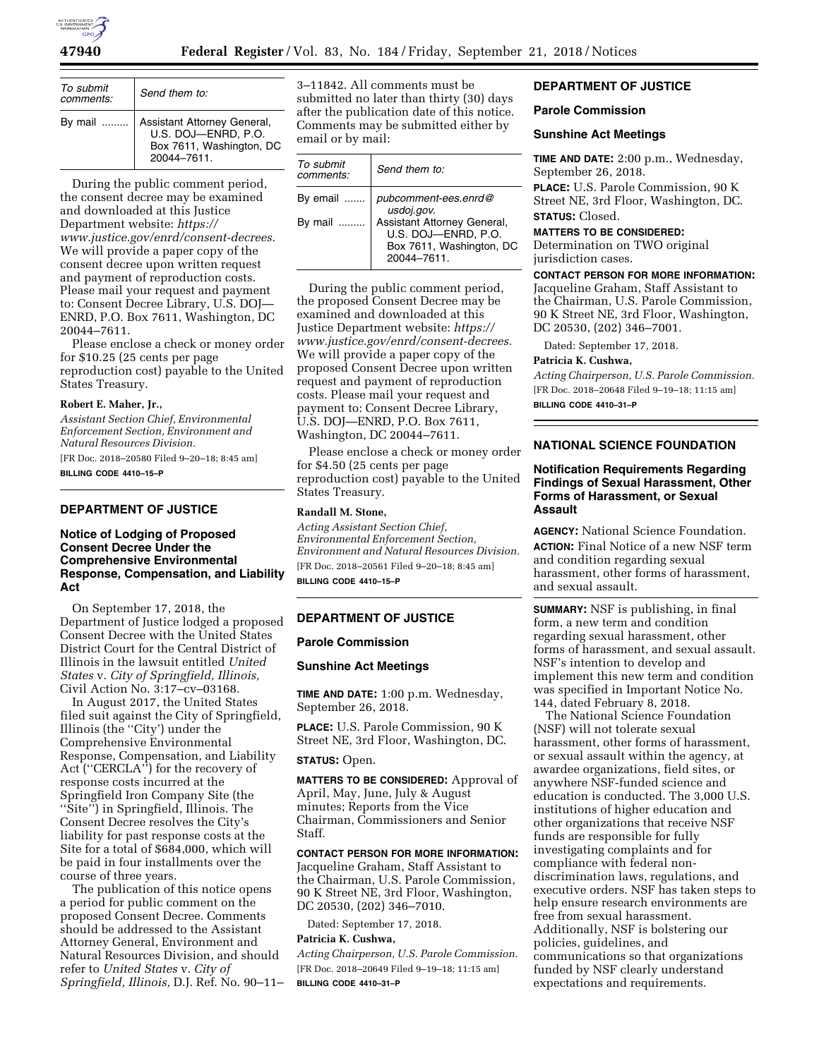

| To submit<br>comments: | Send them to:                                                                                |
|------------------------|----------------------------------------------------------------------------------------------|
| By mail                | Assistant Attorney General,<br>U.S. DOJ-ENRD, P.O.<br>Box 7611, Washington, DC<br>20044-7611 |

During the public comment period, the consent decree may be examined and downloaded at this Justice Department website: *[https://](https://www.justice.gov/enrd/consent-decrees) [www.justice.gov/enrd/consent-decrees.](https://www.justice.gov/enrd/consent-decrees)*  We will provide a paper copy of the consent decree upon written request and payment of reproduction costs. Please mail your request and payment to: Consent Decree Library, U.S. DOJ— ENRD, P.O. Box 7611, Washington, DC 20044–7611.

Please enclose a check or money order for \$10.25 (25 cents per page reproduction cost) payable to the United States Treasury.

#### **Robert E. Maher, Jr.,**

*Assistant Section Chief, Environmental Enforcement Section, Environment and Natural Resources Division.* 

[FR Doc. 2018–20580 Filed 9–20–18; 8:45 am] **BILLING CODE 4410–15–P** 

#### **DEPARTMENT OF JUSTICE**

# **Notice of Lodging of Proposed Consent Decree Under the Comprehensive Environmental Response, Compensation, and Liability Act**

On September 17, 2018, the Department of Justice lodged a proposed Consent Decree with the United States District Court for the Central District of Illinois in the lawsuit entitled *United States* v. *City of Springfield, Illinois,*  Civil Action No. 3:17–cv–03168.

In August 2017, the United States filed suit against the City of Springfield, Illinois (the ''City') under the Comprehensive Environmental Response, Compensation, and Liability Act (''CERCLA'') for the recovery of response costs incurred at the Springfield Iron Company Site (the ''Site'') in Springfield, Illinois. The Consent Decree resolves the City's liability for past response costs at the Site for a total of \$684,000, which will be paid in four installments over the course of three years.

The publication of this notice opens a period for public comment on the proposed Consent Decree. Comments should be addressed to the Assistant Attorney General, Environment and Natural Resources Division, and should refer to *United States* v. *City of Springfield, Illinois,* D.J. Ref. No. 90–11– 3–11842. All comments must be submitted no later than thirty (30) days after the publication date of this notice. Comments may be submitted either by email or by mail:

| To submit<br>comments: | Send them to:                                                                                |
|------------------------|----------------------------------------------------------------------------------------------|
| By email               | pubcomment-ees.enrd@<br>usdoj.gov.                                                           |
| By mail                | Assistant Attorney General,<br>U.S. DOJ-ENRD, P.O.<br>Box 7611, Washington, DC<br>20044-7611 |

During the public comment period, the proposed Consent Decree may be examined and downloaded at this Justice Department website: *[https://](https://www.justice.gov/enrd/consent-decrees) [www.justice.gov/enrd/consent-decrees.](https://www.justice.gov/enrd/consent-decrees)*  We will provide a paper copy of the proposed Consent Decree upon written request and payment of reproduction costs. Please mail your request and payment to: Consent Decree Library, U.S. DOJ—ENRD, P.O. Box 7611, Washington, DC 20044–7611.

Please enclose a check or money order for \$4.50 (25 cents per page reproduction cost) payable to the United States Treasury.

## **Randall M. Stone,**

*Acting Assistant Section Chief, Environmental Enforcement Section, Environment and Natural Resources Division.*  [FR Doc. 2018–20561 Filed 9–20–18; 8:45 am] **BILLING CODE 4410–15–P** 

## **DEPARTMENT OF JUSTICE**

#### **Parole Commission**

#### **Sunshine Act Meetings**

**TIME AND DATE:** 1:00 p.m. Wednesday, September 26, 2018.

**PLACE:** U.S. Parole Commission, 90 K Street NE, 3rd Floor, Washington, DC.

#### **STATUS:** Open.

**MATTERS TO BE CONSIDERED:** Approval of April, May, June, July & August minutes; Reports from the Vice Chairman, Commissioners and Senior Staff.

# **CONTACT PERSON FOR MORE INFORMATION:**

Jacqueline Graham, Staff Assistant to the Chairman, U.S. Parole Commission, 90 K Street NE, 3rd Floor, Washington, DC 20530, (202) 346–7010.

Dated: September 17, 2018.

# **Patricia K. Cushwa,**

*Acting Chairperson, U.S. Parole Commission.*  [FR Doc. 2018–20649 Filed 9–19–18; 11:15 am] **BILLING CODE 4410–31–P** 

# **DEPARTMENT OF JUSTICE**

#### **Parole Commission**

## **Sunshine Act Meetings**

**TIME AND DATE:** 2:00 p.m., Wednesday, September 26, 2018.

**PLACE:** U.S. Parole Commission, 90 K Street NE, 3rd Floor, Washington, DC. **STATUS:** Closed.

#### **MATTERS TO BE CONSIDERED:**

Determination on TWO original jurisdiction cases.

#### **CONTACT PERSON FOR MORE INFORMATION:**

Jacqueline Graham, Staff Assistant to the Chairman, U.S. Parole Commission, 90 K Street NE, 3rd Floor, Washington, DC 20530, (202) 346–7001.

Dated: September 17, 2018.

# **Patricia K. Cushwa,**

*Acting Chairperson, U.S. Parole Commission.*  [FR Doc. 2018–20648 Filed 9–19–18; 11:15 am] **BILLING CODE 4410–31–P** 

## **NATIONAL SCIENCE FOUNDATION**

## **Notification Requirements Regarding Findings of Sexual Harassment, Other Forms of Harassment, or Sexual Assault**

**AGENCY:** National Science Foundation. **ACTION:** Final Notice of a new NSF term and condition regarding sexual harassment, other forms of harassment, and sexual assault.

**SUMMARY:** NSF is publishing, in final form, a new term and condition regarding sexual harassment, other forms of harassment, and sexual assault. NSF's intention to develop and implement this new term and condition was specified in Important Notice No. 144, dated February 8, 2018.

The National Science Foundation (NSF) will not tolerate sexual harassment, other forms of harassment, or sexual assault within the agency, at awardee organizations, field sites, or anywhere NSF-funded science and education is conducted. The 3,000 U.S. institutions of higher education and other organizations that receive NSF funds are responsible for fully investigating complaints and for compliance with federal nondiscrimination laws, regulations, and executive orders. NSF has taken steps to help ensure research environments are free from sexual harassment. Additionally, NSF is bolstering our policies, guidelines, and communications so that organizations funded by NSF clearly understand expectations and requirements.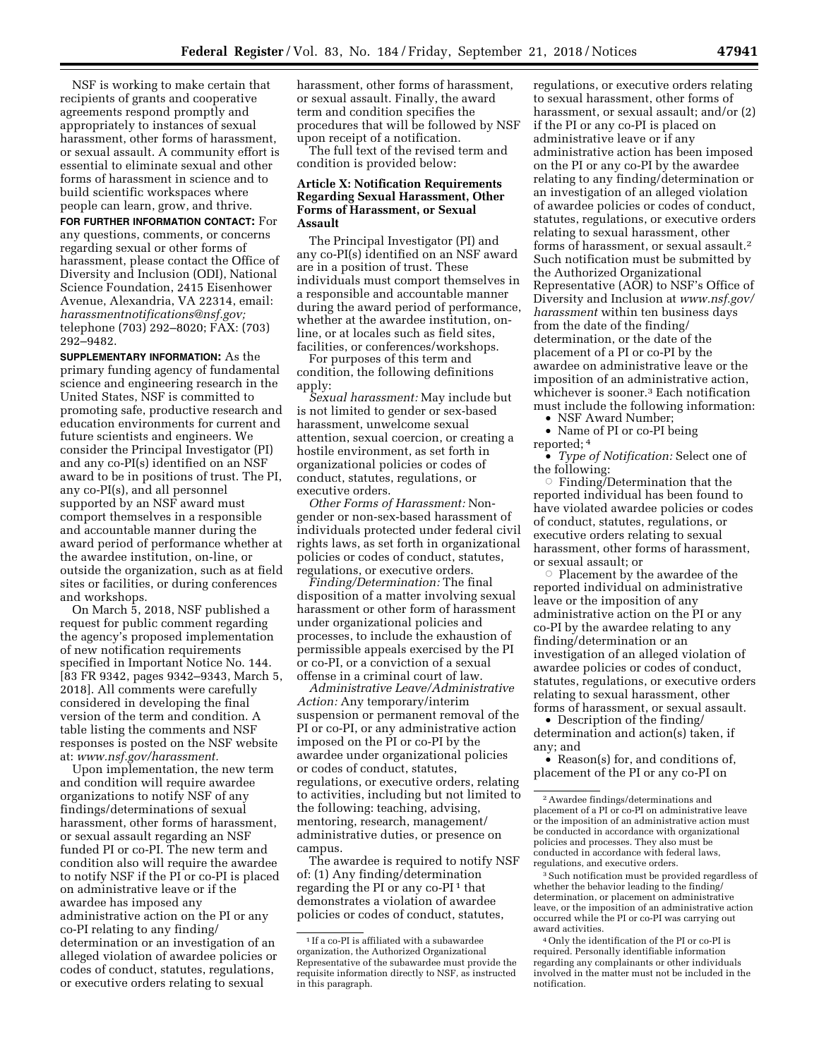NSF is working to make certain that recipients of grants and cooperative agreements respond promptly and appropriately to instances of sexual harassment, other forms of harassment, or sexual assault. A community effort is essential to eliminate sexual and other forms of harassment in science and to build scientific workspaces where people can learn, grow, and thrive.

**FOR FURTHER INFORMATION CONTACT:** For any questions, comments, or concerns regarding sexual or other forms of harassment, please contact the Office of Diversity and Inclusion (ODI), National Science Foundation, 2415 Eisenhower Avenue, Alexandria, VA 22314, email: *[harassmentnotifications@nsf.gov;](mailto:harassmentnotifications@nsf.gov)*  telephone (703) 292–8020; FAX: (703) 292–9482.

**SUPPLEMENTARY INFORMATION:** As the primary funding agency of fundamental science and engineering research in the United States, NSF is committed to promoting safe, productive research and education environments for current and future scientists and engineers. We consider the Principal Investigator (PI) and any co-PI(s) identified on an NSF award to be in positions of trust. The PI, any co-PI(s), and all personnel supported by an NSF award must comport themselves in a responsible and accountable manner during the award period of performance whether at the awardee institution, on-line, or outside the organization, such as at field sites or facilities, or during conferences and workshops.

On March 5, 2018, NSF published a request for public comment regarding the agency's proposed implementation of new notification requirements specified in Important Notice No. 144. [83 FR 9342, pages 9342–9343, March 5, 2018]. All comments were carefully considered in developing the final version of the term and condition. A table listing the comments and NSF responses is posted on the NSF website at: *[www.nsf.gov/harassment.](http://www.nsf.gov/harassment)* 

Upon implementation, the new term and condition will require awardee organizations to notify NSF of any findings/determinations of sexual harassment, other forms of harassment, or sexual assault regarding an NSF funded PI or co-PI. The new term and condition also will require the awardee to notify NSF if the PI or co-PI is placed on administrative leave or if the awardee has imposed any administrative action on the PI or any co-PI relating to any finding/ determination or an investigation of an alleged violation of awardee policies or codes of conduct, statutes, regulations, or executive orders relating to sexual

harassment, other forms of harassment, or sexual assault. Finally, the award term and condition specifies the procedures that will be followed by NSF upon receipt of a notification.

The full text of the revised term and condition is provided below:

### **Article X: Notification Requirements Regarding Sexual Harassment, Other Forms of Harassment, or Sexual Assault**

The Principal Investigator (PI) and any co-PI(s) identified on an NSF award are in a position of trust. These individuals must comport themselves in a responsible and accountable manner during the award period of performance, whether at the awardee institution, online, or at locales such as field sites, facilities, or conferences/workshops.

For purposes of this term and condition, the following definitions apply:

*Sexual harassment:* May include but is not limited to gender or sex-based harassment, unwelcome sexual attention, sexual coercion, or creating a hostile environment, as set forth in organizational policies or codes of conduct, statutes, regulations, or executive orders.

*Other Forms of Harassment:* Nongender or non-sex-based harassment of individuals protected under federal civil rights laws, as set forth in organizational policies or codes of conduct, statutes, regulations, or executive orders.

*Finding/Determination:* The final disposition of a matter involving sexual harassment or other form of harassment under organizational policies and processes, to include the exhaustion of permissible appeals exercised by the PI or co-PI, or a conviction of a sexual offense in a criminal court of law.

*Administrative Leave/Administrative Action:* Any temporary/interim suspension or permanent removal of the PI or co-PI, or any administrative action imposed on the PI or co-PI by the awardee under organizational policies or codes of conduct, statutes, regulations, or executive orders, relating to activities, including but not limited to the following: teaching, advising, mentoring, research, management/ administrative duties, or presence on campus.

The awardee is required to notify NSF of: (1) Any finding/determination regarding the PI or any co-PI $<sup>1</sup>$  that</sup> demonstrates a violation of awardee policies or codes of conduct, statutes,

regulations, or executive orders relating to sexual harassment, other forms of harassment, or sexual assault; and/or (2) if the PI or any co-PI is placed on administrative leave or if any administrative action has been imposed on the PI or any co-PI by the awardee relating to any finding/determination or an investigation of an alleged violation of awardee policies or codes of conduct, statutes, regulations, or executive orders relating to sexual harassment, other forms of harassment, or sexual assault.2 Such notification must be submitted by the Authorized Organizational Representative (AOR) to NSF's Office of Diversity and Inclusion at *[www.nsf.gov/](http://www.nsf.gov/harassment)  [harassment](http://www.nsf.gov/harassment)* within ten business days from the date of the finding/ determination, or the date of the placement of a PI or co-PI by the awardee on administrative leave or the imposition of an administrative action, whichever is sooner.3 Each notification must include the following information:

• NSF Award Number;

• Name of PI or co-PI being

reported; 4

• *Type of Notification:* Select one of the following:

Finding/Determination that the reported individual has been found to have violated awardee policies or codes of conduct, statutes, regulations, or executive orders relating to sexual harassment, other forms of harassment, or sexual assault; or

Æ Placement by the awardee of the reported individual on administrative leave or the imposition of any administrative action on the PI or any co-PI by the awardee relating to any finding/determination or an investigation of an alleged violation of awardee policies or codes of conduct, statutes, regulations, or executive orders relating to sexual harassment, other forms of harassment, or sexual assault.

• Description of the finding/ determination and action(s) taken, if any; and

• Reason(s) for, and conditions of, placement of the PI or any co-PI on

<sup>3</sup> Such notification must be provided regardless of whether the behavior leading to the finding/ determination, or placement on administrative leave, or the imposition of an administrative action occurred while the PI or co-PI was carrying out award activities.

 $^{\rm 1}\,$  If a co-PI is affiliated with a subawardee organization, the Authorized Organizational Representative of the subawardee must provide the requisite information directly to NSF, as instructed in this paragraph.

<sup>2</sup>Awardee findings/determinations and placement of a PI or co-PI on administrative leave or the imposition of an administrative action must be conducted in accordance with organizational policies and processes. They also must be conducted in accordance with federal laws, regulations, and executive orders.

<sup>4</sup>Only the identification of the PI or co-PI is required. Personally identifiable information regarding any complainants or other individuals involved in the matter must not be included in the notification.